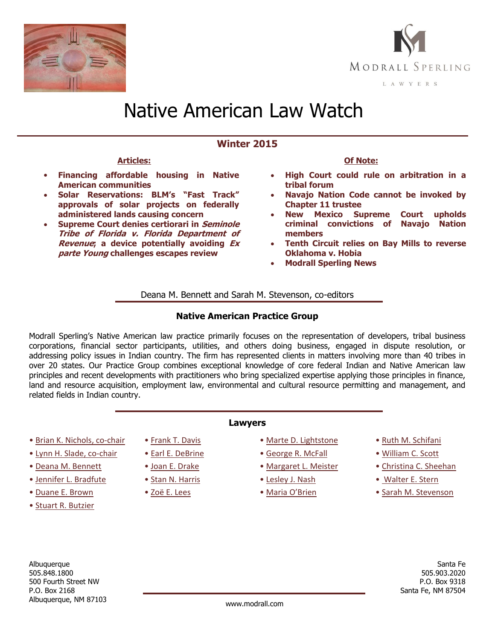



# Native American Law Watch

# **Winter 2015**

## **Articles:**

- **[Financing affordable housing in Native](#page-1-0)  [American communities](#page-1-0)**
- **Solar Reservations: [BLM's "Fast Track"](#page-3-0)  [approvals of solar projects on federally](#page-3-0)  [administered lands causing concern](#page-3-0)**
- **[Supreme Court denies certiorari in](#page-4-0) Seminole [Tribe of Florida v. Florida Department of](#page-4-0)  Revenue[; a device potentially avoiding](#page-4-0) Ex parte Young [challenges escapes review](#page-4-0)**

# **Of Note:**

- **[High Court could rule on arbitration in a](#page-6-0)  [tribal forum](#page-6-0)**
- **[Navajo Nation Code cannot be invoked by](#page-6-1)  [Chapter 11 trustee](#page-6-1)**
- **[New Mexico Supreme Court upholds](#page-7-0)  [criminal convictions of Navajo Nation](#page-7-0)  [members](#page-7-0)**
- **[Tenth Circuit relies on Bay Mills to reverse](#page-7-1)  [Oklahoma v. Hobia](#page-7-1)**
- **[Modrall Sperling News](#page-7-2)**

Deana M. Bennett and Sarah M. Stevenson, co-editors

# **Native American Practice Group**

Modrall Sperling's Native American law practice primarily focuses on the representation of developers, tribal business corporations, financial sector participants, utilities, and others doing business, engaged in dispute resolution, or addressing policy issues in Indian country. The firm has represented clients in matters involving more than 40 tribes in over 20 states. Our Practice Group combines exceptional knowledge of core federal Indian and Native American law principles and recent developments with practitioners who bring specialized expertise applying those principles in finance, land and resource acquisition, employment law, environmental and cultural resource permitting and management, and related fields in Indian country.

**Lawyers**

- [Brian K. Nichols,](http://www.modrall.com/bkn) co-chair
- [Lynn H. Slade,](http://www.modrall.com/lhs) co-chair
- [Deana M. Bennett](http://www.modrall.com/dmb)
- [Jennifer L. Bradfute](http://www.modrall.com/jlb)
- [Duane E. Brown](http://www.modrall.com/deb)
- [Stuart R. Butzier](http://www.modrall.com/srb)

• [Frank T. Davis](http://www.modrall.com/FrankDavis)

• [Earl E. DeBrine](http://www.modrall.com/eed) • [Joan E. Drake](http://www.modrall.com/jed) • [Stan N. Harris](http://www.modrall.com/snh) • [Zoë E. Lees](http://www.modrall.com/zel)

- [Marte D. Lightstone](http://www.modrall.com/mdl)
- [George R. McFall](http://www.modrall.com/grm)
- [Margaret L. Meister](http://www.modrall.com/mlm)
- [Lesley J. Nash](http://www.modrall.com/ljn)
- • [Maria O'Brien](http://www.modrall.com/mob)
- [Ruth M. Schifani](http://www.modrall.com/rms)
- [William C. Scott](http://www.modrall.com/wcs)
- [Christina C. Sheehan](http://www.modrall.com/ccs)
- [Walter E. Stern](http://www.modrall.com/wes)
- [Sarah M. Stevenson](http://www.modrall.com/sms)

Albuquerque 505.848.1800 500 Fourth Street NW P.O. Box 2168 Albuquerque, NM 87103 www.modrall.com

Santa Fe 505.903.2020 P.O. Box 9318 Santa Fe, NM 87504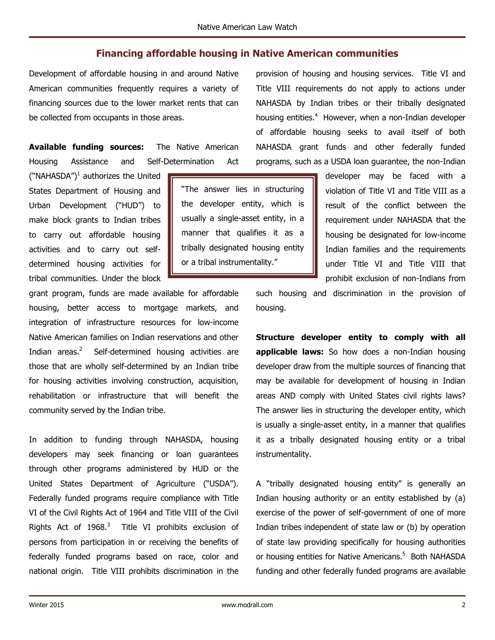# **Financing affordable housing in Native American communities**

<span id="page-1-0"></span>Development of affordable housing in and around Native American communities frequently requires a variety of financing sources due to the lower market rents that can be collected from occupants in those areas.

**Available funding sources:** The Native American Housing Assistance and Self-Determination Act

("NAHASDA") $^1$  authorizes the United States Department of Housing and Urban Development ("HUD") to make block grants to Indian tribes to carry out affordable housing activities and to carry out selfdetermined housing activities for tribal communities. Under the block

grant program, funds are made available for affordable housing, better access to mortgage markets, and integration of infrastructure resources for low-income Native American families on Indian reservations and other Indian areas. $2$  Self-determined housing activities are those that are wholly self-determined by an Indian tribe for housing activities involving construction, acquisition, rehabilitation or infrastructure that will benefit the community served by the Indian tribe.

In addition to funding through NAHASDA, housing developers may seek financing or loan guarantees through other programs administered by HUD or the United States Department of Agriculture ("USDA"). Federally funded programs require compliance with Title VI of the Civil Rights Act of 1964 and Title VIII of the Civil Rights Act of  $1968.<sup>3</sup>$  Title VI prohibits exclusion of persons from participation in or receiving the benefits of federally funded programs based on race, color and national origin. Title VIII prohibits discrimination in the

provision of housing and housing services. Title VI and Title VIII requirements do not apply to actions under NAHASDA by Indian tribes or their tribally designated housing entities.<sup>4</sup> However, when a non-Indian developer of affordable housing seeks to avail itself of both NAHASDA grant funds and other federally funded programs, such as a USDA loan guarantee, the non-Indian

"The answer lies in structuring the developer entity, which is usually a single-asset entity, in a manner that qualifies it as a tribally designated housing entity or a tribal instrumentality."

developer may be faced with a violation of Title VI and Title VIII as a result of the conflict between the requirement under NAHASDA that the housing be designated for low-income Indian families and the requirements under Title VI and Title VIII that prohibit exclusion of non-Indians from

such housing and discrimination in the provision of housing.

**Structure developer entity to comply with all applicable laws:** So how does a non-Indian housing developer draw from the multiple sources of financing that may be available for development of housing in Indian areas AND comply with United States civil rights laws? The answer lies in structuring the developer entity, which is usually a single-asset entity, in a manner that qualifies it as a tribally designated housing entity or a tribal instrumentality.

A "tribally designated housing entity" is generally an Indian housing authority or an entity established by (a) exercise of the power of self-government of one of more Indian tribes independent of state law or (b) by operation of state law providing specifically for housing authorities or housing entities for Native Americans.<sup>5</sup> Both NAHASDA funding and other federally funded programs are available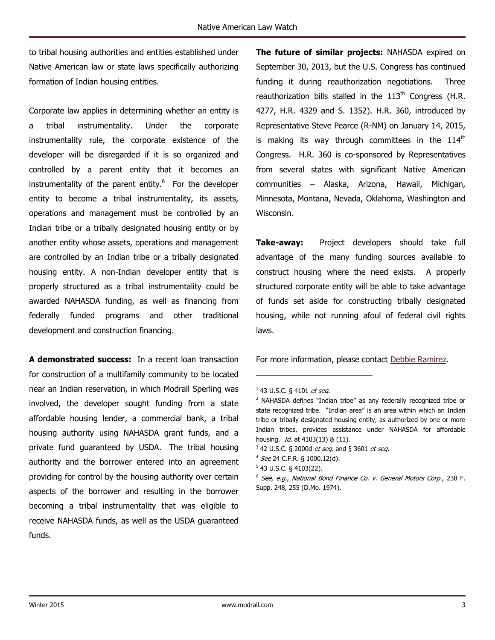to tribal housing authorities and entities established under Native American law or state laws specifically authorizing formation of Indian housing entities.

Corporate law applies in determining whether an entity is a tribal instrumentality. Under the corporate instrumentality rule, the corporate existence of the developer will be disregarded if it is so organized and controlled by a parent entity that it becomes an instrumentality of the parent entity.<sup>6</sup> For the developer entity to become a tribal instrumentality, its assets, operations and management must be controlled by an Indian tribe or a tribally designated housing entity or by another entity whose assets, operations and management are controlled by an Indian tribe or a tribally designated housing entity. A non-Indian developer entity that is properly structured as a tribal instrumentality could be awarded NAHASDA funding, as well as financing from federally funded programs and other traditional development and construction financing.

**A demonstrated success:** In a recent loan transaction for construction of a multifamily community to be located near an Indian reservation, in which Modrall Sperling was involved, the developer sought funding from a state affordable housing lender, a commercial bank, a tribal housing authority using NAHASDA grant funds, and a private fund guaranteed by USDA. The tribal housing authority and the borrower entered into an agreement providing for control by the housing authority over certain aspects of the borrower and resulting in the borrower becoming a tribal instrumentality that was eligible to receive NAHASDA funds, as well as the USDA guaranteed funds.

**The future of similar projects:** NAHASDA expired on September 30, 2013, but the U.S. Congress has continued funding it during reauthorization negotiations. Three reauthorization bills stalled in the  $113<sup>th</sup>$  Congress (H.R. 4277, H.R. 4329 and S. 1352). H.R. 360, introduced by Representative Steve Pearce (R-NM) on January 14, 2015, is making its way through committees in the  $114<sup>th</sup>$ Congress. H.R. 360 is co-sponsored by Representatives from several states with significant Native American communities – Alaska, Arizona, Hawaii, Michigan, Minnesota, Montana, Nevada, Oklahoma, Washington and Wisconsin.

**Take-away:** Project developers should take full advantage of the many funding sources available to construct housing where the need exists. A properly structured corporate entity will be able to take advantage of funds set aside for constructing tribally designated housing, while not running afoul of federal civil rights laws.

For more information, please contact [Debbie Ramirez.](http://modrall.com/DeboraRamirez)

 $\overline{a}$ 

 $^{1}$  43 U.S.C. § 4101 *et seq*.

<sup>&</sup>lt;sup>2</sup> NAHASDA defines "Indian tribe" as any federally recognized tribe or state recognized tribe. "Indian area" is an area within which an Indian tribe or tribally designated housing entity, as authorized by one or more Indian tribes, provides assistance under NAHASDA for affordable housing. *Id.* at 4103(13) & (11).

<sup>&</sup>lt;sup>3</sup> 42 U.S.C. § 2000d *et seq.* and § 3601 *et seq.* 

<sup>&</sup>lt;sup>4</sup> See 24 C.F.R. § 1000.12(d).

 $5$  43 U.S.C. § 4103(22).

<sup>6</sup> See, e.g., National Bond Finance Co. v. General Motors Corp., 238 F. Supp. 248, 255 (D.Mo. 1974).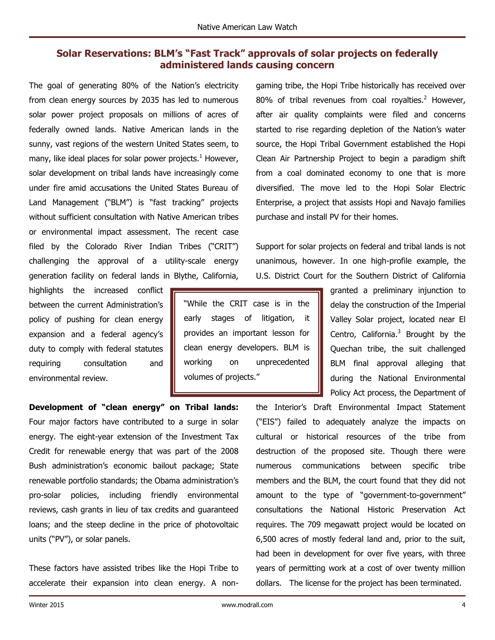# <span id="page-3-0"></span>**Solar Reservations: BLM's "Fast Track" approvals of solar projects on federally administered lands causing concern**

"While the CRIT case is in the early stages of litigation, it provides an important lesson for clean energy developers. BLM is working on unprecedented

volumes of projects."

The goal of generating 80% of the Nation's electricity from clean energy sources by 2035 has led to numerous solar power project proposals on millions of acres of federally owned lands. Native American lands in the sunny, vast regions of the western United States seem, to many, like ideal places for solar power projects. $<sup>1</sup>$  However,</sup> solar development on tribal lands have increasingly come under fire amid accusations the United States Bureau of Land Management ("BLM") is "fast tracking" projects without sufficient consultation with Native American tribes or environmental impact assessment. The recent case filed by the Colorado River Indian Tribes ("CRIT") challenging the approval of a utility-scale energy generation facility on federal lands in Blythe, California,

highlights the increased conflict between the current Administration's policy of pushing for clean energy expansion and a federal agency's duty to comply with federal statutes requiring consultation and environmental review.

**Development of "clean energy" on Tribal lands:**  Four major factors have contributed to a surge in solar energy. The eight-year extension of the Investment Tax Credit for renewable energy that was part of the 2008 Bush administration's economic bailout package; State renewable portfolio standards; the Obama administration's pro-solar policies, including friendly environmental reviews, cash grants in lieu of tax credits and guaranteed loans; and the steep decline in the price of photovoltaic units ("PV"), or solar panels.

These factors have assisted tribes like the Hopi Tribe to accelerate their expansion into clean energy. A nongaming tribe, the Hopi Tribe historically has received over 80% of tribal revenues from coal rovalties.<sup>2</sup> However, after air quality complaints were filed and concerns started to rise regarding depletion of the Nation's water source, the Hopi Tribal Government established the Hopi Clean Air Partnership Project to begin a paradigm shift from a coal dominated economy to one that is more diversified. The move led to the Hopi Solar Electric Enterprise, a project that assists Hopi and Navajo families purchase and install PV for their homes.

Support for solar projects on federal and tribal lands is not unanimous, however. In one high-profile example, the U.S. District Court for the Southern District of California

> granted a preliminary injunction to delay the construction of the Imperial Valley Solar project, located near El Centro, California. $3$  Brought by the Quechan tribe, the suit challenged BLM final approval alleging that during the National Environmental Policy Act process, the Department of

the Interior's Draft Environmental Impact Statement ("EIS") failed to adequately analyze the impacts on cultural or historical resources of the tribe from destruction of the proposed site. Though there were numerous communications between specific tribe members and the BLM, the court found that they did not amount to the type of "government-to-government" consultations the National Historic Preservation Act requires. The 709 megawatt project would be located on 6,500 acres of mostly federal land and, prior to the suit, had been in development for over five years, with three years of permitting work at a cost of over twenty million dollars. The license for the project has been terminated.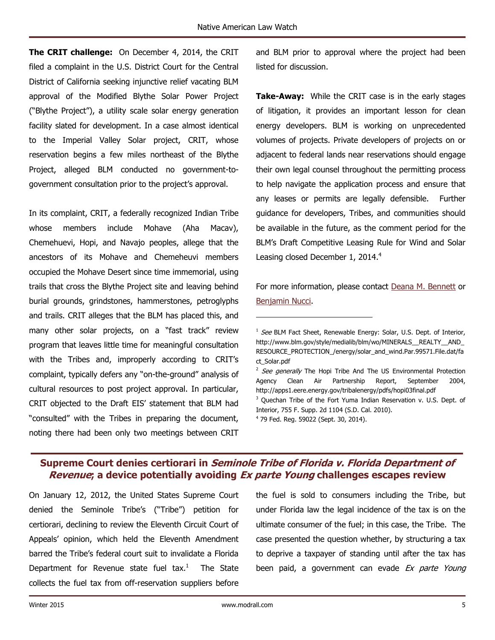**The CRIT challenge:** On December 4, 2014, the CRIT filed a complaint in the U.S. District Court for the Central District of California seeking injunctive relief vacating BLM approval of the Modified Blythe Solar Power Project ("Blythe Project"), a utility scale solar energy generation facility slated for development. In a case almost identical to the Imperial Valley Solar project, CRIT, whose reservation begins a few miles northeast of the Blythe Project, alleged BLM conducted no government-togovernment consultation prior to the project's approval.

In its complaint, CRIT, a federally recognized Indian Tribe whose members include Mohave (Aha Macav), Chemehuevi, Hopi, and Navajo peoples, allege that the ancestors of its Mohave and Chemeheuvi members occupied the Mohave Desert since time immemorial, using trails that cross the Blythe Project site and leaving behind burial grounds, grindstones, hammerstones, petroglyphs and trails. CRIT alleges that the BLM has placed this, and many other solar projects, on a "fast track" review program that leaves little time for meaningful consultation with the Tribes and, improperly according to CRIT's complaint, typically defers any "on-the-ground" analysis of cultural resources to post project approval. In particular, CRIT objected to the Draft EIS' statement that BLM had "consulted" with the Tribes in preparing the document, noting there had been only two meetings between CRIT

and BLM prior to approval where the project had been listed for discussion.

**Take-Away:** While the CRIT case is in the early stages of litigation, it provides an important lesson for clean energy developers. BLM is working on unprecedented volumes of projects. Private developers of projects on or adjacent to federal lands near reservations should engage their own legal counsel throughout the permitting process to help navigate the application process and ensure that any leases or permits are legally defensible. Further guidance for developers, Tribes, and communities should be available in the future, as the comment period for the BLM's Draft Competitive Leasing Rule for Wind and Solar Leasing closed December 1, 2014. $4$ 

For more information, please contact Deana M. [Bennett](http://modrall.com/dmb) or [Benjamin Nucci.](http://modrall.com/ban)

 $\overline{a}$ 

On January 12, 2012, the United States Supreme Court denied the Seminole Tribe's ("Tribe") petition for certiorari, declining to review the Eleventh Circuit Court of Appeals' opinion, which held the Eleventh Amendment barred the Tribe's federal court suit to invalidate a Florida Department for Revenue state fuel  $\text{tax.}^1$  The State collects the fuel tax from off-reservation suppliers before

the fuel is sold to consumers including the Tribe, but under Florida law the legal incidence of the tax is on the ultimate consumer of the fuel; in this case, the Tribe. The case presented the question whether, by structuring a tax to deprive a taxpayer of standing until after the tax has been paid, a government can evade Ex parte Young

<sup>&</sup>lt;sup>1</sup> See BLM Fact Sheet, Renewable Energy: Solar, U.S. Dept. of Interior, http://www.blm.gov/style/medialib/blm/wo/MINERALS\_\_REALTY\_\_AND\_ RESOURCE\_PROTECTION\_/energy/solar\_and\_wind.Par.99571.File.dat/fa ct\_Solar.pdf

<sup>&</sup>lt;sup>2</sup> See generally The Hopi Tribe And The US Environmental Protection Agency Clean Air Partnership Report, September 2004, http://apps1.eere.energy.gov/tribalenergy/pdfs/hopi03final.pdf <sup>3</sup> Quechan Tribe of the Fort Yuma Indian Reservation v. U.S. Dept. of Interior, 755 F. Supp. 2d 1104 (S.D. Cal. 2010). 4 79 Fed. Reg. 59022 (Sept. 30, 2014).

<span id="page-4-0"></span>**Supreme Court denies certiorari in Seminole Tribe of Florida v. Florida Department of Revenue; a device potentially avoiding Ex parte Young challenges escapes review**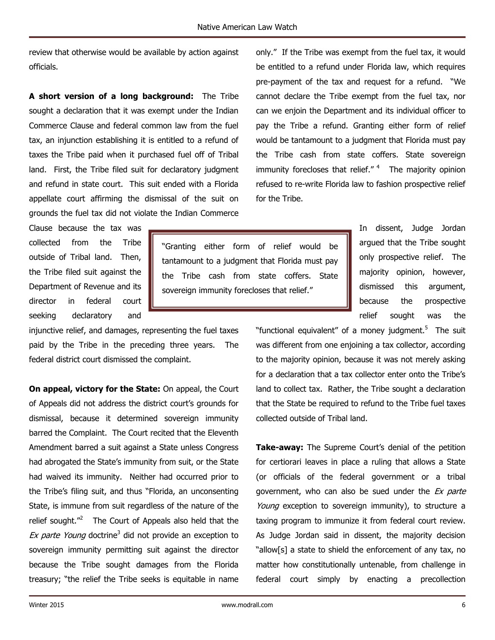review that otherwise would be available by action against officials.

**A short version of a long background:** The Tribe sought a declaration that it was exempt under the Indian Commerce Clause and federal common law from the fuel tax, an injunction establishing it is entitled to a refund of taxes the Tribe paid when it purchased fuel off of Tribal land. First, the Tribe filed suit for declaratory judgment and refund in state court. This suit ended with a Florida appellate court affirming the dismissal of the suit on grounds the fuel tax did not violate the Indian Commerce only." If the Tribe was exempt from the fuel tax, it would be entitled to a refund under Florida law, which requires pre-payment of the tax and request for a refund. "We cannot declare the Tribe exempt from the fuel tax, nor can we enjoin the Department and its individual officer to pay the Tribe a refund. Granting either form of relief would be tantamount to a judgment that Florida must pay the Tribe cash from state coffers. State sovereign immunity forecloses that relief." $4$  The majority opinion refused to re-write Florida law to fashion prospective relief for the Tribe.

Clause because the tax was collected from the Tribe outside of Tribal land. Then, the Tribe filed suit against the Department of Revenue and its director in federal court seeking declaratory and

injunctive relief, and damages, representing the fuel taxes paid by the Tribe in the preceding three years. The federal district court dismissed the complaint.

**On appeal, victory for the State:** On appeal, the Court of Appeals did not address the district court's grounds for dismissal, because it determined sovereign immunity barred the Complaint. The Court recited that the Eleventh Amendment barred a suit against a State unless Congress had abrogated the State's immunity from suit, or the State had waived its immunity. Neither had occurred prior to the Tribe's filing suit, and thus "Florida, an unconsenting State, is immune from suit regardless of the nature of the relief sought."<sup>2</sup> The Court of Appeals also held that the Ex parte Young doctrine<sup>3</sup> did not provide an exception to sovereign immunity permitting suit against the director because the Tribe sought damages from the Florida treasury; "the relief the Tribe seeks is equitable in name

"Granting either form of relief would be tantamount to a judgment that Florida must pay the Tribe cash from state coffers. State sovereign immunity forecloses that relief."

In dissent, Judge Jordan argued that the Tribe sought only prospective relief. The majority opinion, however, dismissed this argument, because the prospective relief sought was the

"functional equivalent" of a money judgment.<sup>5</sup> The suit was different from one enjoining a tax collector, according to the majority opinion, because it was not merely asking for a declaration that a tax collector enter onto the Tribe's land to collect tax. Rather, the Tribe sought a declaration that the State be required to refund to the Tribe fuel taxes collected outside of Tribal land.

**Take-away:** The Supreme Court's denial of the petition for certiorari leaves in place a ruling that allows a State (or officials of the federal government or a tribal government, who can also be sued under the Ex parte Young exception to sovereign immunity), to structure a taxing program to immunize it from federal court review. As Judge Jordan said in dissent, the majority decision "allow[s] a state to shield the enforcement of any tax, no matter how constitutionally untenable, from challenge in federal court simply by enacting a precollection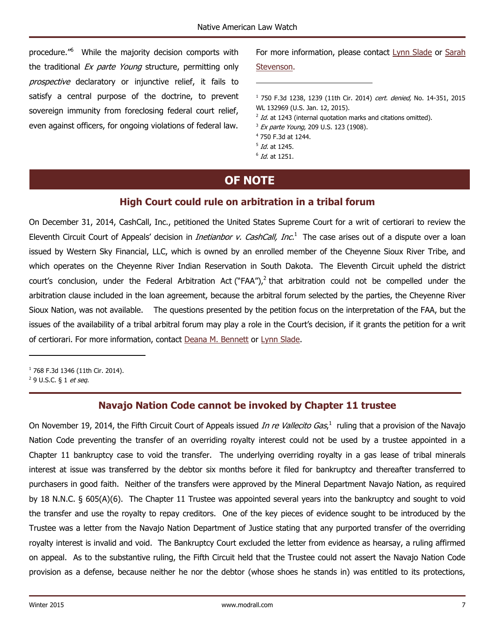$\overline{a}$ 

<span id="page-6-1"></span>procedure."<sup>6</sup> While the majority decision comports with the traditional Ex parte Young structure, permitting only prospective declaratory or injunctive relief, it fails to satisfy a central purpose of the doctrine, to prevent sovereign immunity from foreclosing federal court relief, even against officers, for ongoing violations of federal law.

For more information, please contact [Lynn Slade](http://modrall.com/lhs) or Sarah

#### [Stevenson.](http://modrall.com/sms)

<sup>1</sup> 750 F.3d 1238, 1239 (11th Cir. 2014) cert. denied, No. 14-351, 2015 WL 132969 (U.S. Jan. 12, 2015).

- $^{2}$  Id. at 1243 (internal quotation marks and citations omitted).
- <sup>3</sup> Ex parte Young, 209 U.S. 123 (1908).
- 4 750 F.3d at 1244.
- <sup>5</sup> *Id.* at 1245.
- $6$  Id. at 1251.

# **OF NOTE**

## **High Court could rule on arbitration in a tribal forum**

<span id="page-6-0"></span>On December 31, 2014, CashCall, Inc., petitioned the United States Supreme Court for a writ of certiorari to review the Eleventh Circuit Court of Appeals' decision in *Inetianbor v. CashCall, Inc.*<sup>1</sup> The case arises out of a dispute over a loan issued by Western Sky Financial, LLC, which is owned by an enrolled member of the Cheyenne Sioux River Tribe, and which operates on the Cheyenne River Indian Reservation in South Dakota. The Eleventh Circuit upheld the district court's conclusion, under the Federal Arbitration Act ("FAA"),<sup>2</sup> that arbitration could not be compelled under the arbitration clause included in the loan agreement, because the arbitral forum selected by the parties, the Cheyenne River Sioux Nation, was not available. The questions presented by the petition focus on the interpretation of the FAA, but the issues of the availability of a tribal arbitral forum may play a role in the Court's decision, if it grants the petition for a writ of certiorari. For more information, contact Deana M. [Bennett](http://modrall.com/dmb) or [Lynn Slade.](http://modrall.com/lhs)

<sup>1</sup> 768 F.3d 1346 (11th Cir. 2014). 2 9 U.S.C. § 1 et seq.

 $\overline{\phantom{a}}$ 

# **Navajo Nation Code cannot be invoked by Chapter 11 trustee**

On November 19, 2014, the Fifth Circuit Court of Appeals issued *In re Vallecito Gas*,<sup>1</sup> ruling that a provision of the Navajo Nation Code preventing the transfer of an overriding royalty interest could not be used by a trustee appointed in a Chapter 11 bankruptcy case to void the transfer. The underlying overriding royalty in a gas lease of tribal minerals interest at issue was transferred by the debtor six months before it filed for bankruptcy and thereafter transferred to purchasers in good faith. Neither of the transfers were approved by the Mineral Department Navajo Nation, as required by 18 N.N.C. § 605(A)(6). The Chapter 11 Trustee was appointed several years into the bankruptcy and sought to void the transfer and use the royalty to repay creditors. One of the key pieces of evidence sought to be introduced by the Trustee was a letter from the Navajo Nation Department of Justice stating that any purported transfer of the overriding royalty interest is invalid and void. The Bankruptcy Court excluded the letter from evidence as hearsay, a ruling affirmed on appeal. As to the substantive ruling, the Fifth Circuit held that the Trustee could not assert the Navajo Nation Code provision as a defense, because neither he nor the debtor (whose shoes he stands in) was entitled to its protections,